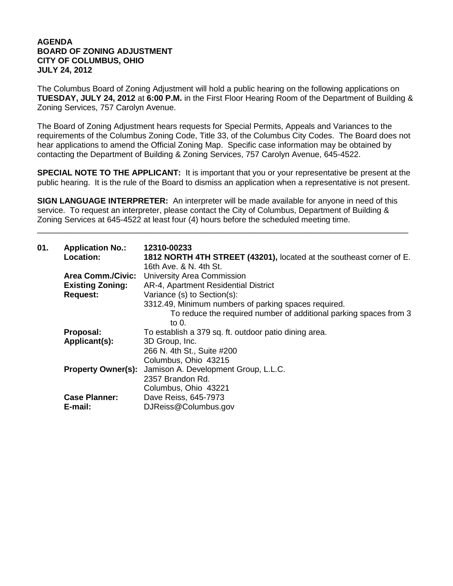## **AGENDA BOARD OF ZONING ADJUSTMENT CITY OF COLUMBUS, OHIO JULY 24, 2012**

The Columbus Board of Zoning Adjustment will hold a public hearing on the following applications on **TUESDAY, JULY 24, 2012** at **6:00 P.M.** in the First Floor Hearing Room of the Department of Building & Zoning Services, 757 Carolyn Avenue.

The Board of Zoning Adjustment hears requests for Special Permits, Appeals and Variances to the requirements of the Columbus Zoning Code, Title 33, of the Columbus City Codes. The Board does not hear applications to amend the Official Zoning Map. Specific case information may be obtained by contacting the Department of Building & Zoning Services, 757 Carolyn Avenue, 645-4522.

**SPECIAL NOTE TO THE APPLICANT:** It is important that you or your representative be present at the public hearing. It is the rule of the Board to dismiss an application when a representative is not present.

**SIGN LANGUAGE INTERPRETER:** An interpreter will be made available for anyone in need of this service. To request an interpreter, please contact the City of Columbus, Department of Building & Zoning Services at 645-4522 at least four (4) hours before the scheduled meeting time.

\_\_\_\_\_\_\_\_\_\_\_\_\_\_\_\_\_\_\_\_\_\_\_\_\_\_\_\_\_\_\_\_\_\_\_\_\_\_\_\_\_\_\_\_\_\_\_\_\_\_\_\_\_\_\_\_\_\_\_\_\_\_\_\_\_\_\_\_\_\_\_\_\_\_\_\_\_\_\_\_\_\_

| 01. | <b>Application No.:</b><br>Location: | 12310-00233<br>1812 NORTH 4TH STREET (43201), located at the southeast corner of E.<br>16th Ave. & N. 4th St. |
|-----|--------------------------------------|---------------------------------------------------------------------------------------------------------------|
|     | <b>Area Comm./Civic:</b>             | University Area Commission                                                                                    |
|     | <b>Existing Zoning:</b>              | AR-4, Apartment Residential District                                                                          |
|     | <b>Request:</b>                      | Variance (s) to Section(s):                                                                                   |
|     |                                      | 3312.49, Minimum numbers of parking spaces required.                                                          |
|     |                                      | To reduce the required number of additional parking spaces from 3<br>to 0.                                    |
|     | Proposal:                            | To establish a 379 sq. ft. outdoor patio dining area.                                                         |
|     | Applicant(s):                        | 3D Group, Inc.                                                                                                |
|     |                                      | 266 N. 4th St., Suite #200                                                                                    |
|     |                                      | Columbus, Ohio 43215                                                                                          |
|     |                                      | <b>Property Owner(s):</b> Jamison A. Development Group, L.L.C.                                                |
|     |                                      | 2357 Brandon Rd.                                                                                              |
|     |                                      | Columbus, Ohio 43221                                                                                          |
|     | <b>Case Planner:</b>                 | Dave Reiss, 645-7973                                                                                          |
|     | E-mail:                              | DJReiss@Columbus.gov                                                                                          |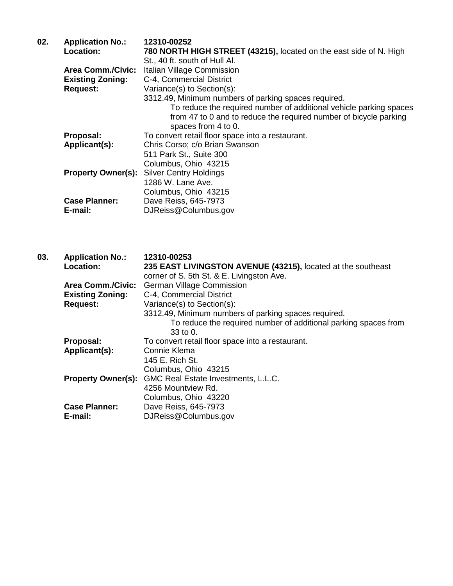| <b>Application No.:</b>   | 12310-00252                                                        |
|---------------------------|--------------------------------------------------------------------|
| <b>Location:</b>          | 780 NORTH HIGH STREET (43215), located on the east side of N. High |
|                           | St., 40 ft. south of Hull Al.                                      |
| <b>Area Comm./Civic:</b>  | Italian Village Commission                                         |
| <b>Existing Zoning:</b>   | C-4, Commercial District                                           |
| <b>Request:</b>           | Variance(s) to Section(s):                                         |
|                           | 3312.49, Minimum numbers of parking spaces required.               |
|                           | To reduce the required number of additional vehicle parking spaces |
|                           | from 47 to 0 and to reduce the required number of bicycle parking  |
|                           | spaces from 4 to 0.                                                |
| Proposal:                 | To convert retail floor space into a restaurant.                   |
| Applicant(s):             | Chris Corso; c/o Brian Swanson                                     |
|                           | 511 Park St., Suite 300                                            |
|                           | Columbus, Ohio 43215                                               |
| <b>Property Owner(s):</b> | <b>Silver Centry Holdings</b>                                      |
|                           | 1286 W. Lane Ave.                                                  |
|                           | Columbus, Ohio 43215                                               |
| <b>Case Planner:</b>      | Dave Reiss, 645-7973                                               |
| E-mail:                   | DJReiss@Columbus.gov                                               |
|                           |                                                                    |

**03. Application No.: 12310-00253 Location: 235 EAST LIVINGSTON AVENUE (43215),** located at the southeast corner of S. 5th St. & E. Livingston Ave. Area Comm./Civic: German Village Commission<br>**Existing Zoning:** C-4, Commercial District **Existing Zoning:** C-4, Commercial District **Request:** Variance(s) to Section(s): 3312.49, Minimum numbers of parking spaces required. To reduce the required number of additional parking spaces from 33 to 0. **Proposal:** To convert retail floor space into a restaurant.<br>**Applicant(s):** Connie Klema Applicant(s): 145 E. Rich St. Columbus, Ohio 43215 **Property Owner(s):** GMC Real Estate Investments, L.L.C. 4256 Mountview Rd. Columbus, Ohio 43220 **Case Planner:** Dave Reiss, 645-7973<br> **E-mail:** DJReiss@Columbus.q **E-mail:** DJReiss@Columbus.gov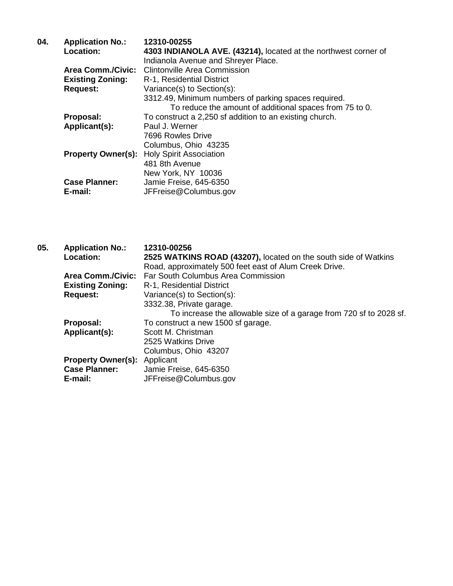| 04. | <b>Application No.:</b>   | 12310-00255                                                     |
|-----|---------------------------|-----------------------------------------------------------------|
|     | Location:                 | 4303 INDIANOLA AVE. (43214), located at the northwest corner of |
|     |                           | Indianola Avenue and Shreyer Place.                             |
|     | <b>Area Comm./Civic:</b>  | Clintonville Area Commission                                    |
|     | <b>Existing Zoning:</b>   | R-1, Residential District                                       |
|     | <b>Request:</b>           | Variance(s) to Section(s):                                      |
|     |                           | 3312.49, Minimum numbers of parking spaces required.            |
|     |                           | To reduce the amount of additional spaces from 75 to 0.         |
|     | Proposal:                 | To construct a 2,250 sf addition to an existing church.         |
|     | Applicant(s):             | Paul J. Werner                                                  |
|     |                           | 7696 Rowles Drive                                               |
|     |                           | Columbus, Ohio 43235                                            |
|     | <b>Property Owner(s):</b> | <b>Holy Spirit Association</b>                                  |
|     |                           | 481 8th Avenue                                                  |
|     |                           | New York, NY 10036                                              |
|     | <b>Case Planner:</b>      | Jamie Freise, 645-6350                                          |
|     | E-mail:                   | JFFreise@Columbus.gov                                           |
|     |                           |                                                                 |

| 05. | <b>Application No.:</b>   | 12310-00256                                                        |
|-----|---------------------------|--------------------------------------------------------------------|
|     | <b>Location:</b>          | 2525 WATKINS ROAD (43207), located on the south side of Watkins    |
|     |                           | Road, approximately 500 feet east of Alum Creek Drive.             |
|     | Area Comm./Civic:         | Far South Columbus Area Commission                                 |
|     | <b>Existing Zoning:</b>   | R-1, Residential District                                          |
|     | <b>Request:</b>           | Variance(s) to Section(s):                                         |
|     |                           | 3332.38, Private garage.                                           |
|     |                           | To increase the allowable size of a garage from 720 sf to 2028 sf. |
|     | Proposal:                 | To construct a new 1500 sf garage.                                 |
|     | Applicant(s):             | Scott M. Christman                                                 |
|     |                           | 2525 Watkins Drive                                                 |
|     |                           | Columbus, Ohio 43207                                               |
|     | <b>Property Owner(s):</b> | Applicant                                                          |
|     | <b>Case Planner:</b>      | Jamie Freise, 645-6350                                             |
|     | E-mail:                   | JFFreise@Columbus.gov                                              |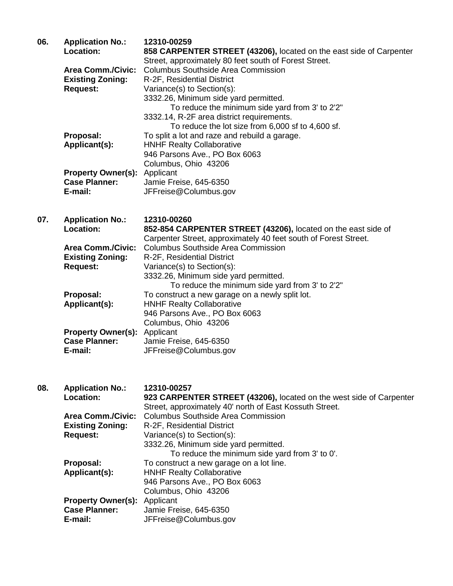| 06. | <b>Application No.:</b>             | 12310-00259                                                         |
|-----|-------------------------------------|---------------------------------------------------------------------|
|     | Location:                           | 858 CARPENTER STREET (43206), located on the east side of Carpenter |
|     |                                     | Street, approximately 80 feet south of Forest Street.               |
|     | <b>Area Comm./Civic:</b>            | Columbus Southside Area Commission                                  |
|     | <b>Existing Zoning:</b>             | R-2F, Residential District                                          |
|     | <b>Request:</b>                     | Variance(s) to Section(s):                                          |
|     |                                     | 3332.26, Minimum side yard permitted.                               |
|     |                                     | To reduce the minimum side yard from 3' to 2'2"                     |
|     |                                     | 3332.14, R-2F area district requirements.                           |
|     |                                     | To reduce the lot size from 6,000 sf to 4,600 sf.                   |
|     | Proposal:                           | To split a lot and raze and rebuild a garage.                       |
|     | Applicant(s):                       | <b>HNHF Realty Collaborative</b>                                    |
|     |                                     | 946 Parsons Ave., PO Box 6063                                       |
|     |                                     | Columbus, Ohio 43206                                                |
|     | <b>Property Owner(s): Applicant</b> |                                                                     |
|     | <b>Case Planner:</b>                | Jamie Freise, 645-6350                                              |
|     | E-mail:                             | JFFreise@Columbus.gov                                               |
| 07. | <b>Application No.:</b>             | 12310-00260                                                         |

| <b>APPROVISION INV</b>    |                                                                 |
|---------------------------|-----------------------------------------------------------------|
| Location:                 | 852-854 CARPENTER STREET (43206), located on the east side of   |
|                           | Carpenter Street, approximately 40 feet south of Forest Street. |
| <b>Area Comm./Civic:</b>  | <b>Columbus Southside Area Commission</b>                       |
| <b>Existing Zoning:</b>   | R-2F, Residential District                                      |
| <b>Request:</b>           | Variance(s) to Section(s):                                      |
|                           | 3332.26, Minimum side yard permitted.                           |
|                           | To reduce the minimum side yard from 3' to 2'2"                 |
| Proposal:                 | To construct a new garage on a newly split lot.                 |
| Applicant(s):             | <b>HNHF Realty Collaborative</b>                                |
|                           | 946 Parsons Ave., PO Box 6063                                   |
|                           | Columbus, Ohio 43206                                            |
| <b>Property Owner(s):</b> | Applicant                                                       |
| <b>Case Planner:</b>      | Jamie Freise, 645-6350                                          |
| E-mail:                   | JFFreise@Columbus.gov                                           |
|                           |                                                                 |

| 08. | <b>Application No.:</b>             | 12310-00257                                                         |
|-----|-------------------------------------|---------------------------------------------------------------------|
|     | Location:                           | 923 CARPENTER STREET (43206), located on the west side of Carpenter |
|     |                                     | Street, approximately 40' north of East Kossuth Street.             |
|     | <b>Area Comm./Civic:</b>            | <b>Columbus Southside Area Commission</b>                           |
|     | <b>Existing Zoning:</b>             | R-2F, Residential District                                          |
|     | <b>Request:</b>                     | Variance(s) to Section(s):                                          |
|     |                                     | 3332.26, Minimum side yard permitted.                               |
|     |                                     | To reduce the minimum side yard from 3' to 0'.                      |
|     | Proposal:                           | To construct a new garage on a lot line.                            |
|     | Applicant(s):                       | <b>HNHF Realty Collaborative</b>                                    |
|     |                                     | 946 Parsons Ave., PO Box 6063                                       |
|     |                                     | Columbus, Ohio 43206                                                |
|     | <b>Property Owner(s):</b> Applicant |                                                                     |
|     | <b>Case Planner:</b>                | Jamie Freise, 645-6350                                              |
|     | E-mail:                             | JFFreise@Columbus.gov                                               |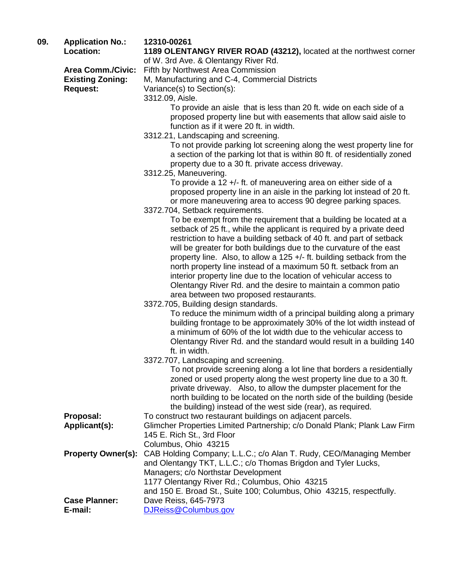**09. Application No.: 12310-00261**

**Location: 1189 OLENTANGY RIVER ROAD (43212),** located at the northwest corner

of W. 3rd Ave. & Olentangy River Rd.

**Area Comm./Civic:** Fifth by Northwest Area Commission<br>**Existing Zoning:** M, Manufacturing and C-4, Commerc **Existing Zoning:** M, Manufacturing and C-4, Commercial Districts<br>Request: Variance(s) to Section(s):

Variance(s) to Section(s):

3312.09, Aisle.

To provide an aisle that is less than 20 ft. wide on each side of a proposed property line but with easements that allow said aisle to function as if it were 20 ft. in width.

3312.21, Landscaping and screening.

To not provide parking lot screening along the west property line for a section of the parking lot that is within 80 ft. of residentially zoned property due to a 30 ft. private access driveway.

3312.25, Maneuvering.

To provide a 12 +/- ft. of maneuvering area on either side of a proposed property line in an aisle in the parking lot instead of 20 ft. or more maneuvering area to access 90 degree parking spaces.

3372.704, Setback requirements.

To be exempt from the requirement that a building be located at a setback of 25 ft., while the applicant is required by a private deed restriction to have a building setback of 40 ft. and part of setback will be greater for both buildings due to the curvature of the east property line. Also, to allow a 125 +/- ft. building setback from the north property line instead of a maximum 50 ft. setback from an interior property line due to the location of vehicular access to Olentangy River Rd. and the desire to maintain a common patio area between two proposed restaurants.

3372.705, Building design standards.

To reduce the minimum width of a principal building along a primary building frontage to be approximately 30% of the lot width instead of a minimum of 60% of the lot width due to the vehicular access to Olentangy River Rd. and the standard would result in a building 140 ft. in width.

3372.707, Landscaping and screening.

To not provide screening along a lot line that borders a residentially zoned or used property along the west property line due to a 30 ft. private driveway. Also, to allow the dumpster placement for the north building to be located on the north side of the building (beside the building) instead of the west side (rear), as required.

**Proposal:** To construct two restaurant buildings on adjacent parcels.

- **Applicant(s):** Glimcher Properties Limited Partnership; c/o Donald Plank; Plank Law Firm 145 E. Rich St., 3rd Floor Columbus, Ohio 43215
- **Property Owner(s):** CAB Holding Company; L.L.C.; c/o Alan T. Rudy, CEO/Managing Member and Olentangy TKT, L.L.C.; c/o Thomas Brigdon and Tyler Lucks, Managers; c/o Northstar Development 1177 Olentangy River Rd.; Columbus, Ohio 43215 and 150 E. Broad St., Suite 100; Columbus, Ohio 43215, respectfully. **Case Planner:** Dave Reiss, 645-7973
- **E-mail:** [DJReiss@Columbus.gov](mailto:DJReiss@Columbus.gov)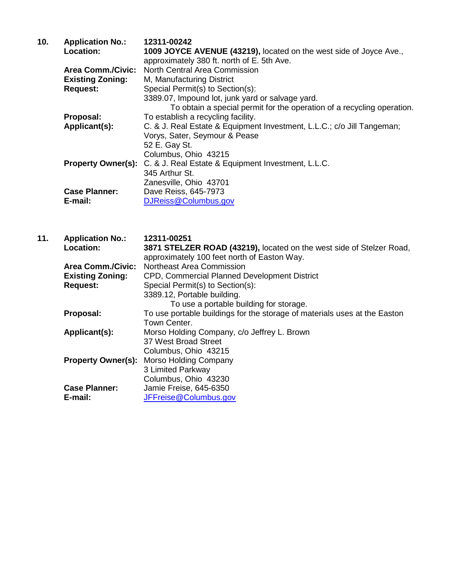| 10. | <b>Application No.:</b>   | 12311-00242                                                            |
|-----|---------------------------|------------------------------------------------------------------------|
|     | Location:                 | 1009 JOYCE AVENUE (43219), located on the west side of Joyce Ave.,     |
|     |                           | approximately 380 ft. north of E. 5th Ave.                             |
|     | <b>Area Comm./Civic:</b>  | North Central Area Commission                                          |
|     | <b>Existing Zoning:</b>   | M, Manufacturing District                                              |
|     | <b>Request:</b>           | Special Permit(s) to Section(s):                                       |
|     |                           | 3389.07, Impound lot, junk yard or salvage yard.                       |
|     |                           | To obtain a special permit for the operation of a recycling operation. |
|     | Proposal:                 | To establish a recycling facility.                                     |
|     | Applicant(s):             | C. & J. Real Estate & Equipment Investment, L.L.C.; c/o Jill Tangeman; |
|     |                           | Vorys, Sater, Seymour & Pease                                          |
|     |                           | 52 E. Gay St.                                                          |
|     |                           | Columbus, Ohio 43215                                                   |
|     | <b>Property Owner(s):</b> | C. & J. Real Estate & Equipment Investment, L.L.C.                     |
|     |                           | 345 Arthur St.                                                         |
|     |                           | Zanesville, Ohio 43701                                                 |
|     | <b>Case Planner:</b>      | Dave Reiss, 645-7973                                                   |
|     | E-mail:                   | DJReiss@Columbus.gov                                                   |

| 11. | <b>Application No.:</b>  | 12311-00251                                                               |
|-----|--------------------------|---------------------------------------------------------------------------|
|     | Location:                | 3871 STELZER ROAD (43219), located on the west side of Stelzer Road,      |
|     |                          | approximately 100 feet north of Easton Way.                               |
|     | <b>Area Comm./Civic:</b> | Northeast Area Commission                                                 |
|     | <b>Existing Zoning:</b>  | CPD, Commercial Planned Development District                              |
|     | <b>Request:</b>          | Special Permit(s) to Section(s):                                          |
|     |                          | 3389.12, Portable building.                                               |
|     |                          | To use a portable building for storage.                                   |
|     | Proposal:                | To use portable buildings for the storage of materials uses at the Easton |
|     |                          | Town Center.                                                              |
|     | Applicant(s):            | Morso Holding Company, c/o Jeffrey L. Brown                               |
|     |                          | 37 West Broad Street                                                      |
|     |                          | Columbus, Ohio 43215                                                      |
|     |                          | <b>Property Owner(s): Morso Holding Company</b>                           |
|     |                          | 3 Limited Parkway                                                         |
|     |                          | Columbus, Ohio 43230                                                      |
|     | <b>Case Planner:</b>     | Jamie Freise, 645-6350                                                    |
|     | E-mail:                  | JFFreise@Columbus.gov                                                     |
|     |                          |                                                                           |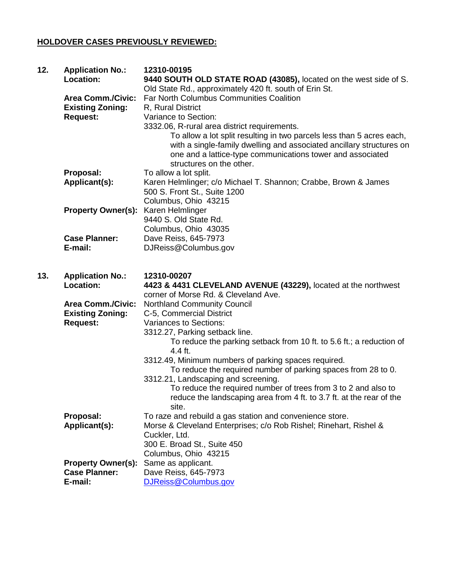## **HOLDOVER CASES PREVIOUSLY REVIEWED:**

| 12. | <b>Application No.:</b><br>Location:                                   | 12310-00195<br>9440 SOUTH OLD STATE ROAD (43085), located on the west side of S.                                                                                                                                                                                                                                                                                                                                      |
|-----|------------------------------------------------------------------------|-----------------------------------------------------------------------------------------------------------------------------------------------------------------------------------------------------------------------------------------------------------------------------------------------------------------------------------------------------------------------------------------------------------------------|
|     | <b>Area Comm./Civic:</b><br><b>Existing Zoning:</b><br><b>Request:</b> | Old State Rd., approximately 420 ft. south of Erin St.<br><b>Far North Columbus Communities Coalition</b><br>R, Rural District<br>Variance to Section:<br>3332.06, R-rural area district requirements.<br>To allow a lot split resulting in two parcels less than 5 acres each,<br>with a single-family dwelling and associated ancillary structures on<br>one and a lattice-type communications tower and associated |
|     |                                                                        | structures on the other.                                                                                                                                                                                                                                                                                                                                                                                              |
|     | Proposal:<br>Applicant(s):                                             | To allow a lot split.<br>Karen Helmlinger; c/o Michael T. Shannon; Crabbe, Brown & James<br>500 S. Front St., Suite 1200                                                                                                                                                                                                                                                                                              |
|     | <b>Property Owner(s):</b>                                              | Columbus, Ohio 43215<br>Karen Helmlinger<br>9440 S. Old State Rd.<br>Columbus, Ohio 43035                                                                                                                                                                                                                                                                                                                             |
|     | <b>Case Planner:</b><br>E-mail:                                        | Dave Reiss, 645-7973<br>DJReiss@Columbus.gov                                                                                                                                                                                                                                                                                                                                                                          |
|     |                                                                        |                                                                                                                                                                                                                                                                                                                                                                                                                       |
| 13. | <b>Application No.:</b><br><b>Location:</b>                            | 12310-00207<br>4423 & 4431 CLEVELAND AVENUE (43229), located at the northwest<br>corner of Morse Rd. & Cleveland Ave.                                                                                                                                                                                                                                                                                                 |
|     | <b>Area Comm./Civic:</b><br><b>Existing Zoning:</b><br><b>Request:</b> | <b>Northland Community Council</b><br>C-5, Commercial District<br><b>Variances to Sections:</b><br>3312.27, Parking setback line.<br>To reduce the parking setback from 10 ft. to 5.6 ft.; a reduction of                                                                                                                                                                                                             |
|     |                                                                        | 4.4 ft.<br>3312.49, Minimum numbers of parking spaces required.<br>To reduce the required number of parking spaces from 28 to 0.<br>3312.21, Landscaping and screening.<br>To reduce the required number of trees from 3 to 2 and also to<br>reduce the landscaping area from 4 ft. to 3.7 ft. at the rear of the<br>site.                                                                                            |
|     | Proposal:<br>Applicant(s):                                             | To raze and rebuild a gas station and convenience store.<br>Morse & Cleveland Enterprises; c/o Rob Rishel; Rinehart, Rishel &<br>Cuckler, Ltd.<br>300 E. Broad St., Suite 450<br>Columbus, Ohio 43215                                                                                                                                                                                                                 |
|     | <b>Property Owner(s):</b><br><b>Case Planner:</b><br>E-mail:           | Same as applicant.<br>Dave Reiss, 645-7973<br>DJReiss@Columbus.gov                                                                                                                                                                                                                                                                                                                                                    |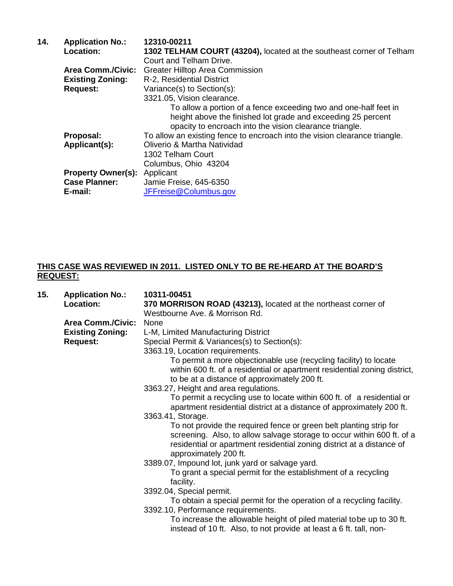| 14. | <b>Application No.:</b>   | 12310-00211                                                                |
|-----|---------------------------|----------------------------------------------------------------------------|
|     | Location:                 | 1302 TELHAM COURT (43204), located at the southeast corner of Telham       |
|     |                           | Court and Telham Drive.                                                    |
|     | <b>Area Comm./Civic:</b>  | <b>Greater Hilltop Area Commission</b>                                     |
|     | <b>Existing Zoning:</b>   | R-2, Residential District                                                  |
|     | <b>Request:</b>           | Variance(s) to Section(s):                                                 |
|     |                           | 3321.05, Vision clearance.                                                 |
|     |                           | To allow a portion of a fence exceeding two and one-half feet in           |
|     |                           | height above the finished lot grade and exceeding 25 percent               |
|     |                           | opacity to encroach into the vision clearance triangle.                    |
|     | Proposal:                 | To allow an existing fence to encroach into the vision clearance triangle. |
|     | Applicant(s):             | Oliverio & Martha Natividad                                                |
|     |                           | 1302 Telham Court                                                          |
|     |                           | Columbus, Ohio 43204                                                       |
|     | <b>Property Owner(s):</b> | Applicant                                                                  |
|     | <b>Case Planner:</b>      | Jamie Freise, 645-6350                                                     |
|     | E-mail:                   | JFFreise@Columbus.gov                                                      |

## **THIS CASE WAS REVIEWED IN 2011. LISTED ONLY TO BE RE-HEARD AT THE BOARD'S REQUEST:**

| 15. | <b>Application No.:</b>  | 10311-00451                                                                                                                                                                                                                                    |
|-----|--------------------------|------------------------------------------------------------------------------------------------------------------------------------------------------------------------------------------------------------------------------------------------|
|     | Location:                | 370 MORRISON ROAD (43213), located at the northeast corner of                                                                                                                                                                                  |
|     |                          | Westbourne Ave. & Morrison Rd.                                                                                                                                                                                                                 |
|     | <b>Area Comm./Civic:</b> | None                                                                                                                                                                                                                                           |
|     | <b>Existing Zoning:</b>  | L-M, Limited Manufacturing District                                                                                                                                                                                                            |
|     | <b>Request:</b>          | Special Permit & Variances(s) to Section(s):                                                                                                                                                                                                   |
|     |                          | 3363.19, Location requirements.                                                                                                                                                                                                                |
|     |                          | To permit a more objectionable use (recycling facility) to locate<br>within 600 ft. of a residential or apartment residential zoning district,<br>to be at a distance of approximately 200 ft.                                                 |
|     |                          | 3363.27, Height and area regulations.                                                                                                                                                                                                          |
|     |                          | To permit a recycling use to locate within 600 ft. of a residential or<br>apartment residential district at a distance of approximately 200 ft.                                                                                                |
|     |                          | 3363.41, Storage.                                                                                                                                                                                                                              |
|     |                          | To not provide the required fence or green belt planting strip for<br>screening. Also, to allow salvage storage to occur within 600 ft. of a<br>residential or apartment residential zoning district at a distance of<br>approximately 200 ft. |
|     |                          | 3389.07, Impound lot, junk yard or salvage yard.                                                                                                                                                                                               |
|     |                          | To grant a special permit for the establishment of a recycling<br>facility.                                                                                                                                                                    |
|     |                          | 3392.04, Special permit.                                                                                                                                                                                                                       |
|     |                          | To obtain a special permit for the operation of a recycling facility.                                                                                                                                                                          |
|     |                          | 3392.10, Performance requirements.                                                                                                                                                                                                             |
|     |                          | To increase the allowable height of piled material tobe up to 30 ft.<br>instead of 10 ft. Also, to not provide at least a 6 ft. tall, non-                                                                                                     |